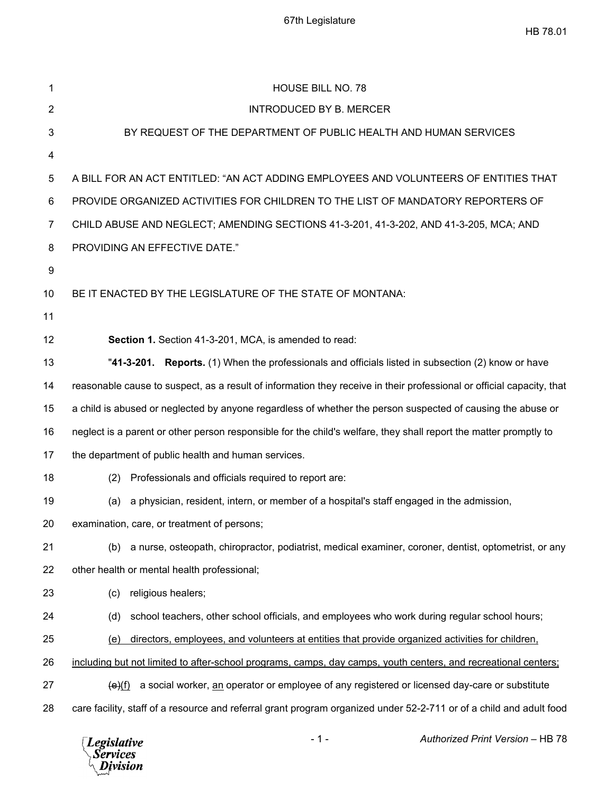| 1              | <b>HOUSE BILL NO. 78</b>                                                                                              |
|----------------|-----------------------------------------------------------------------------------------------------------------------|
| $\overline{2}$ | <b>INTRODUCED BY B. MERCER</b>                                                                                        |
| 3              | BY REQUEST OF THE DEPARTMENT OF PUBLIC HEALTH AND HUMAN SERVICES                                                      |
| 4              |                                                                                                                       |
| 5              | A BILL FOR AN ACT ENTITLED: "AN ACT ADDING EMPLOYEES AND VOLUNTEERS OF ENTITIES THAT                                  |
| 6              | PROVIDE ORGANIZED ACTIVITIES FOR CHILDREN TO THE LIST OF MANDATORY REPORTERS OF                                       |
| 7              | CHILD ABUSE AND NEGLECT; AMENDING SECTIONS 41-3-201, 41-3-202, AND 41-3-205, MCA; AND                                 |
| 8              | PROVIDING AN EFFECTIVE DATE."                                                                                         |
| 9              |                                                                                                                       |
| 10             | BE IT ENACTED BY THE LEGISLATURE OF THE STATE OF MONTANA:                                                             |
| 11             |                                                                                                                       |
| 12             | Section 1. Section 41-3-201, MCA, is amended to read:                                                                 |
| 13             | "41-3-201. Reports. (1) When the professionals and officials listed in subsection (2) know or have                    |
| 14             | reasonable cause to suspect, as a result of information they receive in their professional or official capacity, that |
| 15             | a child is abused or neglected by anyone regardless of whether the person suspected of causing the abuse or           |
| 16             | neglect is a parent or other person responsible for the child's welfare, they shall report the matter promptly to     |
| 17             | the department of public health and human services.                                                                   |
| 18             | Professionals and officials required to report are:<br>(2)                                                            |
| 19             | a physician, resident, intern, or member of a hospital's staff engaged in the admission,<br>(a)                       |
| 20             | examination, care, or treatment of persons;                                                                           |
| 21             | (b) a nurse, osteopath, chiropractor, podiatrist, medical examiner, coroner, dentist, optometrist, or any             |
| 22             | other health or mental health professional;                                                                           |
| 23             | religious healers;<br>(c)                                                                                             |
| 24             | school teachers, other school officials, and employees who work during regular school hours;<br>(d)                   |
| 25             | directors, employees, and volunteers at entities that provide organized activities for children,<br><u>(e)</u>        |
| 26             | including but not limited to after-school programs, camps, day camps, youth centers, and recreational centers;        |
| 27             | a social worker, an operator or employee of any registered or licensed day-care or substitute<br>(e)(f)               |
| 28             | care facility, staff of a resource and referral grant program organized under 52-2-711 or of a child and adult food   |
|                |                                                                                                                       |

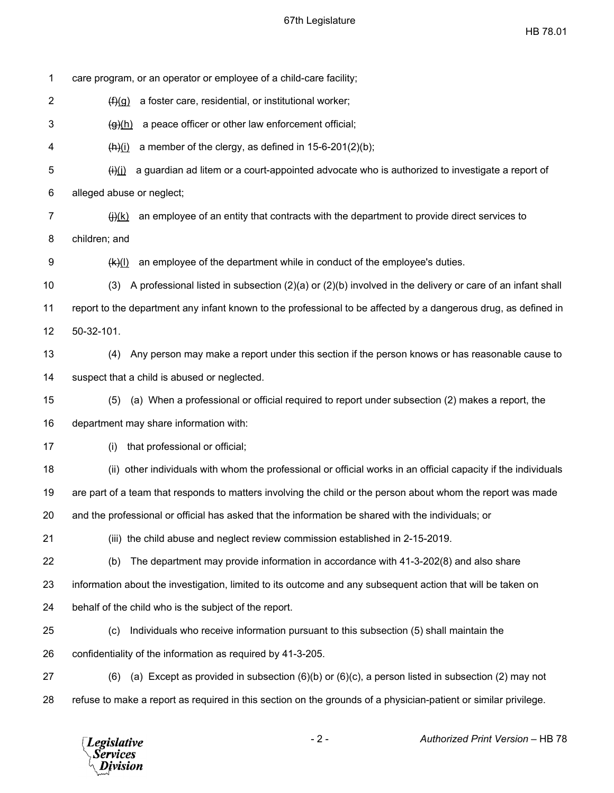HB 78.01

| 1  | care program, or an operator or employee of a child-care facility;                                                      |
|----|-------------------------------------------------------------------------------------------------------------------------|
| 2  | a foster care, residential, or institutional worker;<br>(f)(g)                                                          |
| 3  | a peace officer or other law enforcement official;<br>$\frac{g(h)}{h}$                                                  |
| 4  | a member of the clergy, as defined in $15-6-201(2)(b)$ ;<br>$\frac{(\mathsf{h})(i)}{(\mathsf{h})}$                      |
| 5  | a guardian ad litem or a court-appointed advocate who is authorized to investigate a report of<br>$\theta$ (i)          |
| 6  | alleged abuse or neglect;                                                                                               |
| 7  | an employee of an entity that contracts with the department to provide direct services to<br>$\left(\frac{1}{2}\right)$ |
| 8  | children; and                                                                                                           |
| 9  | an employee of the department while in conduct of the employee's duties.<br>$(k)$ (I)                                   |
| 10 | A professional listed in subsection $(2)(a)$ or $(2)(b)$ involved in the delivery or care of an infant shall<br>(3)     |
| 11 | report to the department any infant known to the professional to be affected by a dangerous drug, as defined in         |
| 12 | $50-32-101.$                                                                                                            |
| 13 | Any person may make a report under this section if the person knows or has reasonable cause to<br>(4)                   |
| 14 | suspect that a child is abused or neglected.                                                                            |
| 15 | (a) When a professional or official required to report under subsection (2) makes a report, the<br>(5)                  |
| 16 | department may share information with:                                                                                  |
| 17 | that professional or official;<br>(i)                                                                                   |
| 18 | (ii) other individuals with whom the professional or official works in an official capacity if the individuals          |
| 19 | are part of a team that responds to matters involving the child or the person about whom the report was made            |
| 20 | and the professional or official has asked that the information be shared with the individuals; or                      |
| 21 | (iii) the child abuse and neglect review commission established in 2-15-2019.                                           |
| 22 | The department may provide information in accordance with 41-3-202(8) and also share<br>(b)                             |
| 23 | information about the investigation, limited to its outcome and any subsequent action that will be taken on             |
| 24 | behalf of the child who is the subject of the report.                                                                   |
| 25 | Individuals who receive information pursuant to this subsection (5) shall maintain the<br>(c)                           |
| 26 | confidentiality of the information as required by 41-3-205.                                                             |
| 27 | (a) Except as provided in subsection $(6)(b)$ or $(6)(c)$ , a person listed in subsection (2) may not<br>(6)            |
| 28 | refuse to make a report as required in this section on the grounds of a physician-patient or similar privilege.         |
|    |                                                                                                                         |

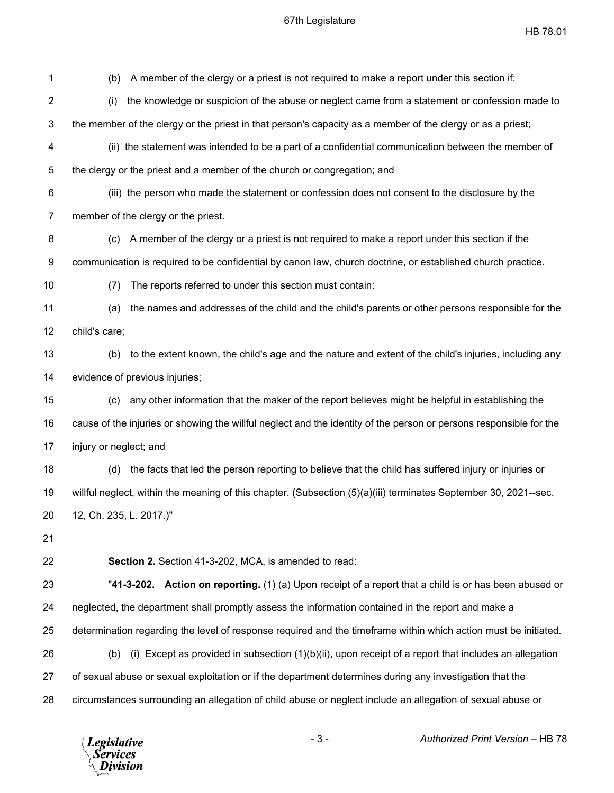HB 78.01

1 (b) A member of the clergy or a priest is not required to make a report under this section if: 2 (i) the knowledge or suspicion of the abuse or neglect came from a statement or confession made to 3 the member of the clergy or the priest in that person's capacity as a member of the clergy or as a priest; 4 (ii) the statement was intended to be a part of a confidential communication between the member of 5 the clergy or the priest and a member of the church or congregation; and 6 (iii) the person who made the statement or confession does not consent to the disclosure by the 7 member of the clergy or the priest. 8 (c) A member of the clergy or a priest is not required to make a report under this section if the 9 communication is required to be confidential by canon law, church doctrine, or established church practice. 10 (7) The reports referred to under this section must contain: 11 (a) the names and addresses of the child and the child's parents or other persons responsible for the 12 child's care; 13 (b) to the extent known, the child's age and the nature and extent of the child's injuries, including any 14 evidence of previous injuries; 15 (c) any other information that the maker of the report believes might be helpful in establishing the 16 cause of the injuries or showing the willful neglect and the identity of the person or persons responsible for the 17 injury or neglect; and 18 (d) the facts that led the person reporting to believe that the child has suffered injury or injuries or 19 willful neglect, within the meaning of this chapter. (Subsection (5)(a)(iii) terminates September 30, 2021--sec. 20 12, Ch. 235, L. 2017.)" 21 22 **Section 2.** Section 41-3-202, MCA, is amended to read: 23 "**41-3-202. Action on reporting.** (1) (a) Upon receipt of a report that a child is or has been abused or 24 neglected, the department shall promptly assess the information contained in the report and make a 25 determination regarding the level of response required and the timeframe within which action must be initiated. 26 (b) (i) Except as provided in subsection (1)(b)(ii), upon receipt of a report that includes an allegation 27 of sexual abuse or sexual exploitation or if the department determines during any investigation that the 28 circumstances surrounding an allegation of child abuse or neglect include an allegation of sexual abuse or



- 3 - *Authorized Print Version* – HB 78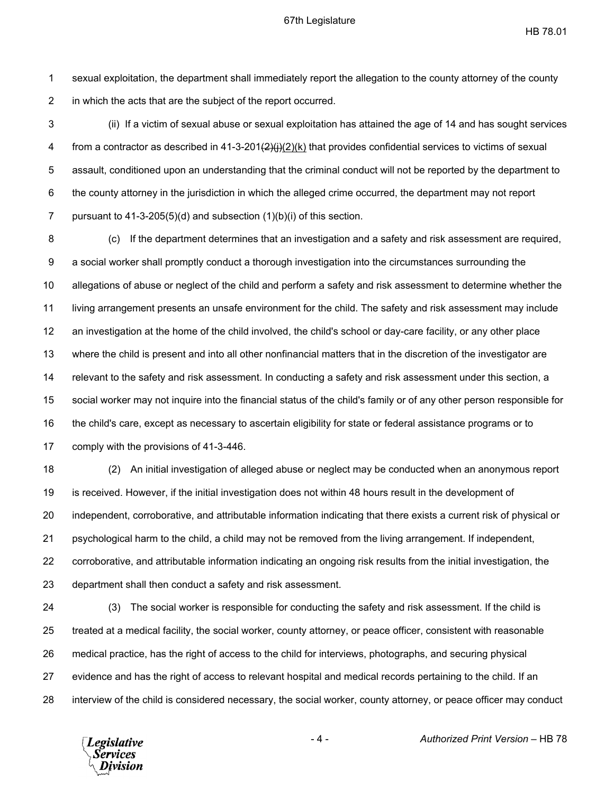HB 78.01

1 sexual exploitation, the department shall immediately report the allegation to the county attorney of the county 2 in which the acts that are the subject of the report occurred.

3 (ii) If a victim of sexual abuse or sexual exploitation has attained the age of 14 and has sought services 4 from a contractor as described in 41-3-201 $\left(\frac{2}{i}\right)(2)(k)$  that provides confidential services to victims of sexual 5 assault, conditioned upon an understanding that the criminal conduct will not be reported by the department to 6 the county attorney in the jurisdiction in which the alleged crime occurred, the department may not report 7 pursuant to 41-3-205(5)(d) and subsection (1)(b)(i) of this section.

8 (c) If the department determines that an investigation and a safety and risk assessment are required, 9 a social worker shall promptly conduct a thorough investigation into the circumstances surrounding the 10 allegations of abuse or neglect of the child and perform a safety and risk assessment to determine whether the 11 living arrangement presents an unsafe environment for the child. The safety and risk assessment may include 12 an investigation at the home of the child involved, the child's school or day-care facility, or any other place 13 where the child is present and into all other nonfinancial matters that in the discretion of the investigator are 14 relevant to the safety and risk assessment. In conducting a safety and risk assessment under this section, a 15 social worker may not inquire into the financial status of the child's family or of any other person responsible for 16 the child's care, except as necessary to ascertain eligibility for state or federal assistance programs or to 17 comply with the provisions of 41-3-446.

18 (2) An initial investigation of alleged abuse or neglect may be conducted when an anonymous report 19 is received. However, if the initial investigation does not within 48 hours result in the development of 20 independent, corroborative, and attributable information indicating that there exists a current risk of physical or 21 psychological harm to the child, a child may not be removed from the living arrangement. If independent, 22 corroborative, and attributable information indicating an ongoing risk results from the initial investigation, the 23 department shall then conduct a safety and risk assessment.

24 (3) The social worker is responsible for conducting the safety and risk assessment. If the child is 25 treated at a medical facility, the social worker, county attorney, or peace officer, consistent with reasonable 26 medical practice, has the right of access to the child for interviews, photographs, and securing physical 27 evidence and has the right of access to relevant hospital and medical records pertaining to the child. If an 28 interview of the child is considered necessary, the social worker, county attorney, or peace officer may conduct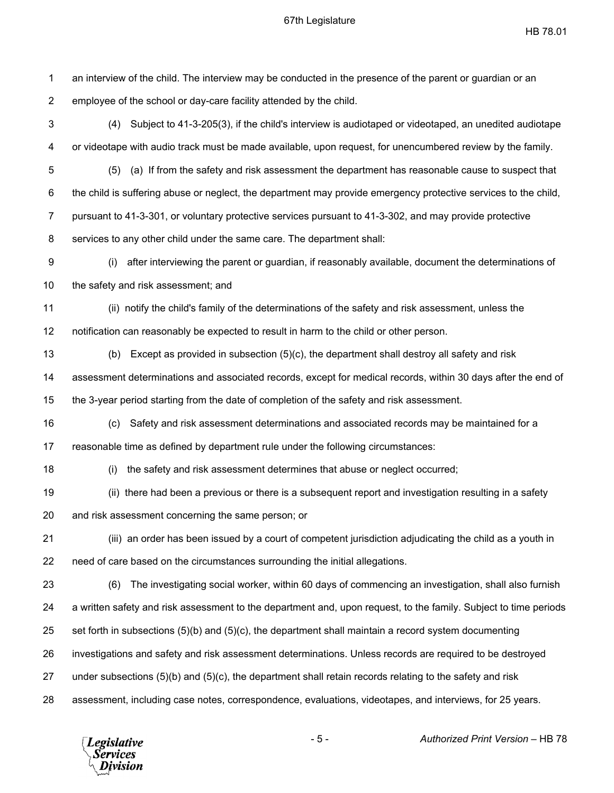HB 78.01

1 an interview of the child. The interview may be conducted in the presence of the parent or guardian or an 2 employee of the school or day-care facility attended by the child. 3 (4) Subject to 41-3-205(3), if the child's interview is audiotaped or videotaped, an unedited audiotape 4 or videotape with audio track must be made available, upon request, for unencumbered review by the family. 5 (5) (a) If from the safety and risk assessment the department has reasonable cause to suspect that 6 the child is suffering abuse or neglect, the department may provide emergency protective services to the child, 7 pursuant to 41-3-301, or voluntary protective services pursuant to 41-3-302, and may provide protective 8 services to any other child under the same care. The department shall: 9 (i) after interviewing the parent or guardian, if reasonably available, document the determinations of 10 the safety and risk assessment; and 11 (ii) notify the child's family of the determinations of the safety and risk assessment, unless the 12 notification can reasonably be expected to result in harm to the child or other person. 13 (b) Except as provided in subsection (5)(c), the department shall destroy all safety and risk 14 assessment determinations and associated records, except for medical records, within 30 days after the end of 15 the 3-year period starting from the date of completion of the safety and risk assessment. 16 (c) Safety and risk assessment determinations and associated records may be maintained for a 17 reasonable time as defined by department rule under the following circumstances: 18 (i) the safety and risk assessment determines that abuse or neglect occurred; 19 (ii) there had been a previous or there is a subsequent report and investigation resulting in a safety 20 and risk assessment concerning the same person; or 21 (iii) an order has been issued by a court of competent jurisdiction adjudicating the child as a youth in 22 need of care based on the circumstances surrounding the initial allegations. 23 (6) The investigating social worker, within 60 days of commencing an investigation, shall also furnish 24 a written safety and risk assessment to the department and, upon request, to the family. Subject to time periods 25 set forth in subsections (5)(b) and (5)(c), the department shall maintain a record system documenting 26 investigations and safety and risk assessment determinations. Unless records are required to be destroyed 27 under subsections (5)(b) and (5)(c), the department shall retain records relating to the safety and risk 28 assessment, including case notes, correspondence, evaluations, videotapes, and interviews, for 25 years.



- 5 - *Authorized Print Version* – HB 78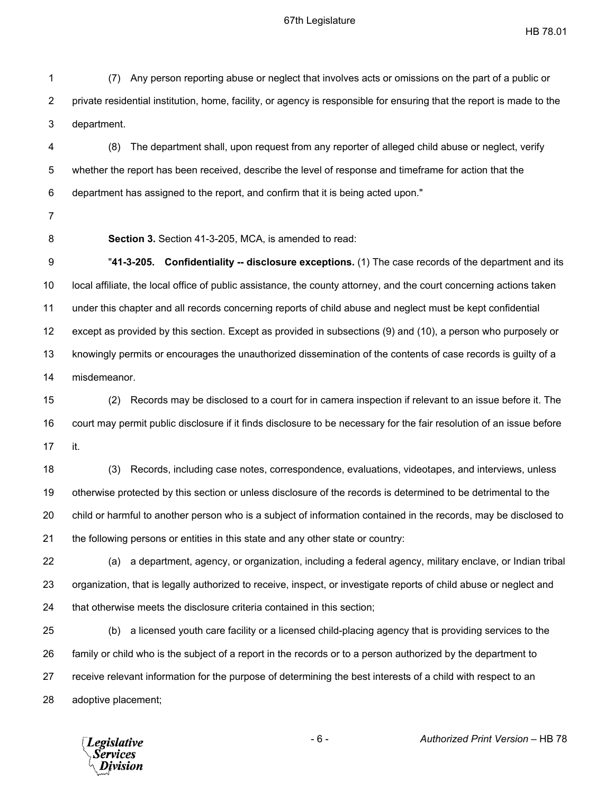HB 78.01

1 (7) Any person reporting abuse or neglect that involves acts or omissions on the part of a public or 2 private residential institution, home, facility, or agency is responsible for ensuring that the report is made to the 3 department.

4 (8) The department shall, upon request from any reporter of alleged child abuse or neglect, verify 5 whether the report has been received, describe the level of response and timeframe for action that the 6 department has assigned to the report, and confirm that it is being acted upon."

- 7
- 

8 **Section 3.** Section 41-3-205, MCA, is amended to read:

9 "**41-3-205. Confidentiality -- disclosure exceptions.** (1) The case records of the department and its 10 local affiliate, the local office of public assistance, the county attorney, and the court concerning actions taken 11 under this chapter and all records concerning reports of child abuse and neglect must be kept confidential 12 except as provided by this section. Except as provided in subsections (9) and (10), a person who purposely or 13 knowingly permits or encourages the unauthorized dissemination of the contents of case records is guilty of a 14 misdemeanor.

15 (2) Records may be disclosed to a court for in camera inspection if relevant to an issue before it. The 16 court may permit public disclosure if it finds disclosure to be necessary for the fair resolution of an issue before 17 it.

18 (3) Records, including case notes, correspondence, evaluations, videotapes, and interviews, unless 19 otherwise protected by this section or unless disclosure of the records is determined to be detrimental to the 20 child or harmful to another person who is a subject of information contained in the records, may be disclosed to 21 the following persons or entities in this state and any other state or country:

22 (a) a department, agency, or organization, including a federal agency, military enclave, or Indian tribal 23 organization, that is legally authorized to receive, inspect, or investigate reports of child abuse or neglect and 24 that otherwise meets the disclosure criteria contained in this section;

25 (b) a licensed youth care facility or a licensed child-placing agency that is providing services to the 26 family or child who is the subject of a report in the records or to a person authorized by the department to 27 receive relevant information for the purpose of determining the best interests of a child with respect to an 28 adoptive placement;



- 6 - *Authorized Print Version* – HB 78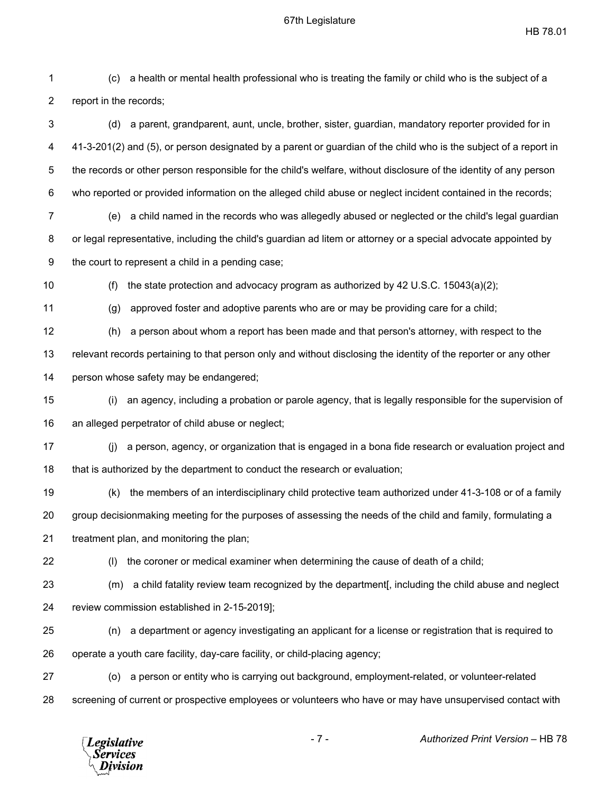HB 78.01

| 1              | (c)                    | a health or mental health professional who is treating the family or child who is the subject of a                |
|----------------|------------------------|-------------------------------------------------------------------------------------------------------------------|
| $\overline{2}$ | report in the records; |                                                                                                                   |
| 3              | (d)                    | a parent, grandparent, aunt, uncle, brother, sister, guardian, mandatory reporter provided for in                 |
| 4              |                        | 41-3-201(2) and (5), or person designated by a parent or guardian of the child who is the subject of a report in  |
| 5              |                        | the records or other person responsible for the child's welfare, without disclosure of the identity of any person |
| 6              |                        | who reported or provided information on the alleged child abuse or neglect incident contained in the records;     |
| 7              | (e)                    | a child named in the records who was allegedly abused or neglected or the child's legal guardian                  |
| 8              |                        | or legal representative, including the child's guardian ad litem or attorney or a special advocate appointed by   |
| 9              |                        | the court to represent a child in a pending case;                                                                 |
| 10             | (f)                    | the state protection and advocacy program as authorized by 42 U.S.C. $15043(a)(2)$ ;                              |
| 11             | (g)                    | approved foster and adoptive parents who are or may be providing care for a child;                                |
| 12             | (h)                    | a person about whom a report has been made and that person's attorney, with respect to the                        |
| 13             |                        | relevant records pertaining to that person only and without disclosing the identity of the reporter or any other  |
| 14             |                        | person whose safety may be endangered;                                                                            |
| 15             | (i)                    | an agency, including a probation or parole agency, that is legally responsible for the supervision of             |
| 16             |                        | an alleged perpetrator of child abuse or neglect;                                                                 |
| 17             | (i)                    | a person, agency, or organization that is engaged in a bona fide research or evaluation project and               |
| 18             |                        | that is authorized by the department to conduct the research or evaluation;                                       |
| 19             | (k)                    | the members of an interdisciplinary child protective team authorized under 41-3-108 or of a family                |
| 20             |                        | group decisionmaking meeting for the purposes of assessing the needs of the child and family, formulating a       |
| 21             |                        | treatment plan, and monitoring the plan;                                                                          |
| 22             | (1)                    | the coroner or medical examiner when determining the cause of death of a child;                                   |
| 23             | (m)                    | a child fatality review team recognized by the department[, including the child abuse and neglect                 |
| 24             |                        | review commission established in 2-15-2019];                                                                      |
| 25             | (n)                    | a department or agency investigating an applicant for a license or registration that is required to               |
| 26             |                        | operate a youth care facility, day-care facility, or child-placing agency;                                        |
| 27             | (o)                    | a person or entity who is carrying out background, employment-related, or volunteer-related                       |
| 28             |                        | screening of current or prospective employees or volunteers who have or may have unsupervised contact with        |
|                |                        |                                                                                                                   |

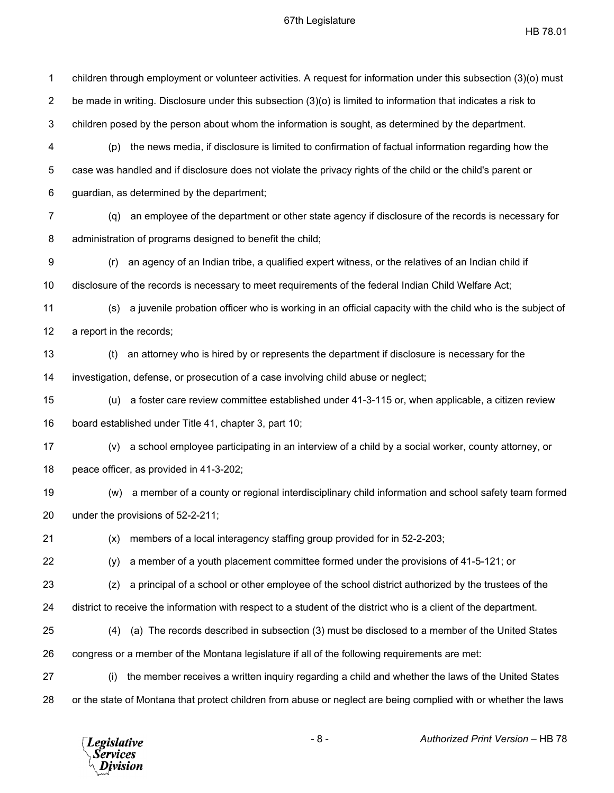| 1              | children through employment or volunteer activities. A request for information under this subsection (3)(o) must |
|----------------|------------------------------------------------------------------------------------------------------------------|
| $\overline{2}$ | be made in writing. Disclosure under this subsection (3)(o) is limited to information that indicates a risk to   |
| $\mathfrak{B}$ | children posed by the person about whom the information is sought, as determined by the department.              |
| 4              | the news media, if disclosure is limited to confirmation of factual information regarding how the<br>(p)         |
| 5              | case was handled and if disclosure does not violate the privacy rights of the child or the child's parent or     |
| 6              | guardian, as determined by the department;                                                                       |
| 7              | an employee of the department or other state agency if disclosure of the records is necessary for<br>(q)         |
| 8              | administration of programs designed to benefit the child;                                                        |
| 9              | an agency of an Indian tribe, a qualified expert witness, or the relatives of an Indian child if<br>(r)          |
| 10             | disclosure of the records is necessary to meet requirements of the federal Indian Child Welfare Act;             |
| 11             | a juvenile probation officer who is working in an official capacity with the child who is the subject of<br>(s)  |
| 12             | a report in the records;                                                                                         |
| 13             | an attorney who is hired by or represents the department if disclosure is necessary for the<br>(t)               |
| 14             | investigation, defense, or prosecution of a case involving child abuse or neglect;                               |
| 15             | a foster care review committee established under 41-3-115 or, when applicable, a citizen review<br>(u)           |
| 16             | board established under Title 41, chapter 3, part 10;                                                            |
| 17             | a school employee participating in an interview of a child by a social worker, county attorney, or<br>(v)        |
| 18             | peace officer, as provided in 41-3-202;                                                                          |
| 19             | a member of a county or regional interdisciplinary child information and school safety team formed<br>(w)        |
| 20             | under the provisions of 52-2-211;                                                                                |
| 21             | members of a local interagency staffing group provided for in 52-2-203;<br>(x)                                   |
| 22             | a member of a youth placement committee formed under the provisions of 41-5-121; or<br>(y)                       |
| 23             | a principal of a school or other employee of the school district authorized by the trustees of the<br>(z)        |
| 24             | district to receive the information with respect to a student of the district who is a client of the department. |
| 25             | (a) The records described in subsection (3) must be disclosed to a member of the United States<br>(4)            |
| 26             | congress or a member of the Montana legislature if all of the following requirements are met:                    |
| 27             | the member receives a written inquiry regarding a child and whether the laws of the United States<br>(i)         |
| 28             | or the state of Montana that protect children from abuse or neglect are being complied with or whether the laws  |
|                |                                                                                                                  |

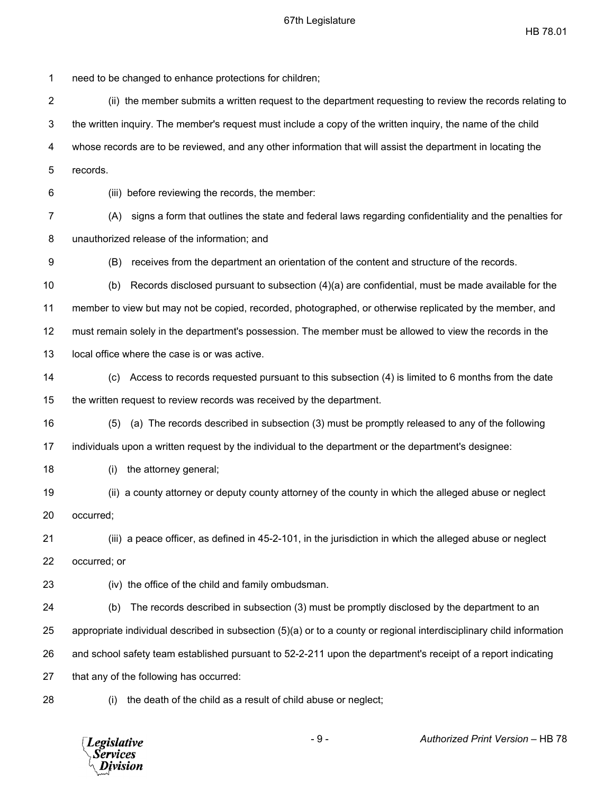1 need to be changed to enhance protections for children; 2 (ii) the member submits a written request to the department requesting to review the records relating to 3 the written inquiry. The member's request must include a copy of the written inquiry, the name of the child 4 whose records are to be reviewed, and any other information that will assist the department in locating the 5 records. 6 (iii) before reviewing the records, the member: 7 (A) signs a form that outlines the state and federal laws regarding confidentiality and the penalties for 8 unauthorized release of the information; and 9 (B) receives from the department an orientation of the content and structure of the records. 10 (b) Records disclosed pursuant to subsection (4)(a) are confidential, must be made available for the 11 member to view but may not be copied, recorded, photographed, or otherwise replicated by the member, and 12 must remain solely in the department's possession. The member must be allowed to view the records in the 13 local office where the case is or was active. 14 (c) Access to records requested pursuant to this subsection (4) is limited to 6 months from the date 15 the written request to review records was received by the department. 16 (5) (a) The records described in subsection (3) must be promptly released to any of the following 17 individuals upon a written request by the individual to the department or the department's designee: 18 (i) the attorney general; 19 (ii) a county attorney or deputy county attorney of the county in which the alleged abuse or neglect 20 occurred; 21 (iii) a peace officer, as defined in 45-2-101, in the jurisdiction in which the alleged abuse or neglect 22 occurred; or 23 (iv) the office of the child and family ombudsman. 24 (b) The records described in subsection (3) must be promptly disclosed by the department to an 25 appropriate individual described in subsection (5)(a) or to a county or regional interdisciplinary child information 26 and school safety team established pursuant to 52-2-211 upon the department's receipt of a report indicating 27 that any of the following has occurred:

28 (i) the death of the child as a result of child abuse or neglect;



- 9 - *Authorized Print Version* – HB 78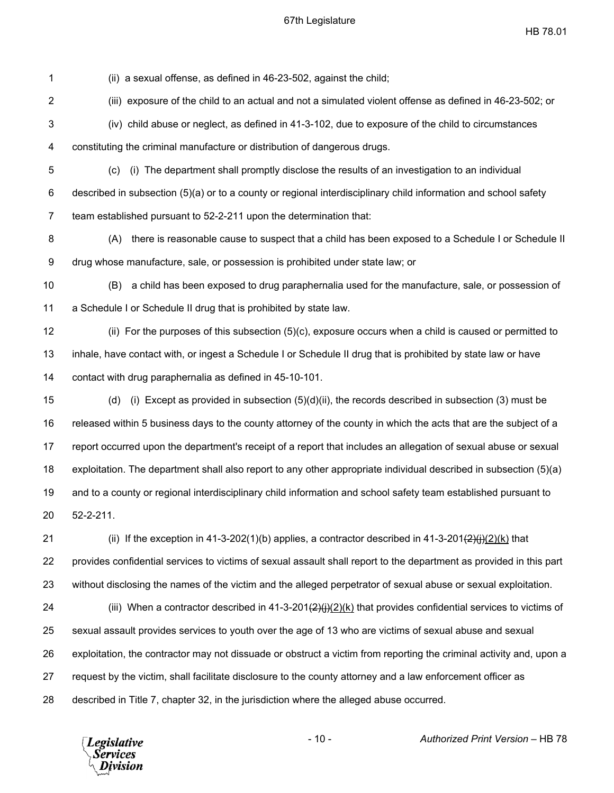HB 78.01

1 (ii) a sexual offense, as defined in 46-23-502, against the child;

2 (iii) exposure of the child to an actual and not a simulated violent offense as defined in 46-23-502; or

3 (iv) child abuse or neglect, as defined in 41-3-102, due to exposure of the child to circumstances

4 constituting the criminal manufacture or distribution of dangerous drugs.

5 (c) (i) The department shall promptly disclose the results of an investigation to an individual 6 described in subsection (5)(a) or to a county or regional interdisciplinary child information and school safety 7 team established pursuant to 52-2-211 upon the determination that:

8 (A) there is reasonable cause to suspect that a child has been exposed to a Schedule I or Schedule II 9 drug whose manufacture, sale, or possession is prohibited under state law; or

10 (B) a child has been exposed to drug paraphernalia used for the manufacture, sale, or possession of 11 a Schedule I or Schedule II drug that is prohibited by state law.

12 (ii) For the purposes of this subsection (5)(c), exposure occurs when a child is caused or permitted to 13 inhale, have contact with, or ingest a Schedule I or Schedule II drug that is prohibited by state law or have 14 contact with drug paraphernalia as defined in 45-10-101.

15 (d) (i) Except as provided in subsection (5)(d)(ii), the records described in subsection (3) must be 16 released within 5 business days to the county attorney of the county in which the acts that are the subject of a 17 report occurred upon the department's receipt of a report that includes an allegation of sexual abuse or sexual 18 exploitation. The department shall also report to any other appropriate individual described in subsection (5)(a) 19 and to a county or regional interdisciplinary child information and school safety team established pursuant to 20 52-2-211.

21 (ii) If the exception in 41-3-202(1)(b) applies, a contractor described in 41-3-201 $\left(\frac{2}{H}\right)(2)(k)$  that 22 provides confidential services to victims of sexual assault shall report to the department as provided in this part 23 without disclosing the names of the victim and the alleged perpetrator of sexual abuse or sexual exploitation.

24 (iii) When a contractor described in 41-3-201 $\left(\frac{2}{H}\right)(2)(k)$  that provides confidential services to victims of 25 sexual assault provides services to youth over the age of 13 who are victims of sexual abuse and sexual 26 exploitation, the contractor may not dissuade or obstruct a victim from reporting the criminal activity and, upon a 27 request by the victim, shall facilitate disclosure to the county attorney and a law enforcement officer as 28 described in Title 7, chapter 32, in the jurisdiction where the alleged abuse occurred.

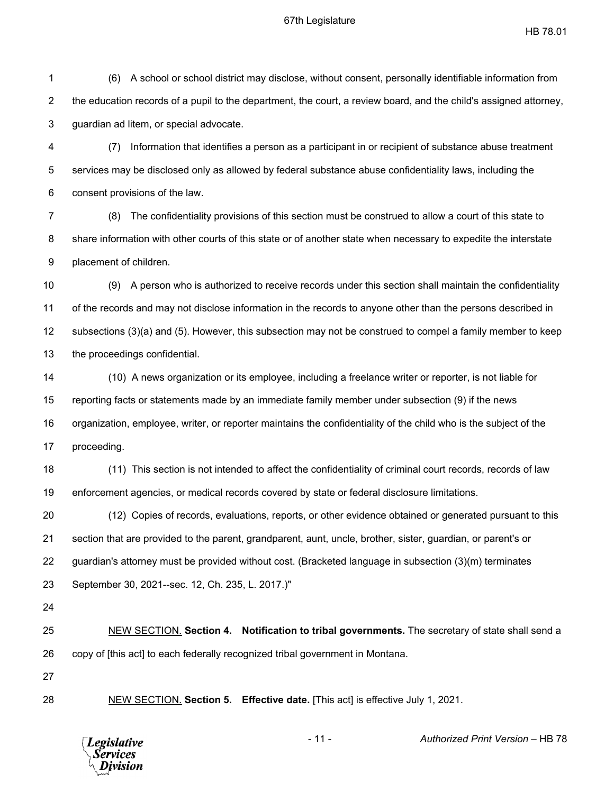HB 78.01

1 (6) A school or school district may disclose, without consent, personally identifiable information from 2 the education records of a pupil to the department, the court, a review board, and the child's assigned attorney, 3 guardian ad litem, or special advocate.

4 (7) Information that identifies a person as a participant in or recipient of substance abuse treatment 5 services may be disclosed only as allowed by federal substance abuse confidentiality laws, including the 6 consent provisions of the law.

7 (8) The confidentiality provisions of this section must be construed to allow a court of this state to 8 share information with other courts of this state or of another state when necessary to expedite the interstate 9 placement of children.

10 (9) A person who is authorized to receive records under this section shall maintain the confidentiality 11 of the records and may not disclose information in the records to anyone other than the persons described in 12 subsections (3)(a) and (5). However, this subsection may not be construed to compel a family member to keep 13 the proceedings confidential.

14 (10) A news organization or its employee, including a freelance writer or reporter, is not liable for 15 reporting facts or statements made by an immediate family member under subsection (9) if the news 16 organization, employee, writer, or reporter maintains the confidentiality of the child who is the subject of the 17 proceeding.

18 (11) This section is not intended to affect the confidentiality of criminal court records, records of law 19 enforcement agencies, or medical records covered by state or federal disclosure limitations.

20 (12) Copies of records, evaluations, reports, or other evidence obtained or generated pursuant to this 21 section that are provided to the parent, grandparent, aunt, uncle, brother, sister, guardian, or parent's or 22 guardian's attorney must be provided without cost. (Bracketed language in subsection (3)(m) terminates

23 September 30, 2021--sec. 12, Ch. 235, L. 2017.)"

24

25 NEW SECTION. **Section 4. Notification to tribal governments.** The secretary of state shall send a 26 copy of [this act] to each federally recognized tribal government in Montana.

27

28 NEW SECTION. **Section 5. Effective date.** [This act] is effective July 1, 2021.